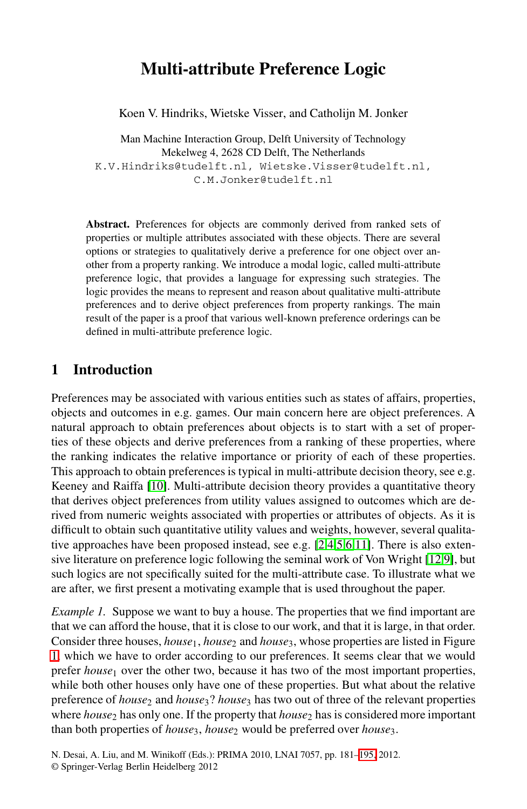# **Multi-attribute Preference Logic**

Koen V. Hindriks, Wietske Visser, and Catholijn M. Jonker

Man Machine Interaction Group, Delft University of Technology Mekelweg 4, 2628 CD Delft, The Netherlands K.V.Hindriks@tudelft.nl, Wietske.Visser@tudelft.nl, C.M.Jonker@tudelft.nl

**Abstract.** Preferences for objects are commonly derived from ranked sets of properties or multiple attributes associated with these objects. There are several options or strategies to qualitatively derive a preference for one object over another from a property ranking. We introduce a modal logic, called multi-attribute preference logic, that provides a language for expressing such strategies. The logic provides the means to represent and reason about qualitative multi-attribute preferences and to derive object preferences from property rankings. The main result of the paper is a proof that various well-known preference orderings can be defined in multi-attribute preference logic.

## **[1](#page-14-0) Introduction**

Preferences may be associated with various entities such as states of affairs, properties, objects and outcomes in e.g. games. Our main concern here are object preferences. A natural approach to obtain prefe[re](#page-14-1)[nc](#page-14-2)[es](#page-14-3) [a](#page-14-4)[bou](#page-14-5)t objects is to start with a set of properties of these objects and derive preferences from a ran[king](#page-14-6) [o](#page-14-7)f these properties, where the ranking indicates the relative importance or priority of each of these properties. This approach to obtain preferences is typical in multi-attribute decision theory, see e.g. Keeney and Raiffa [10]. Multi-attribute decision theory provides a quantitative theory that derives object preferences from utility values assigned to outcomes which are derived from numeric weights associated with properties or attributes of objects. As it is difficult to obtain such quantitative utility values and weights, however, several qualitative approaches have been proposed instead, see e.g. [2,4,5,6,11]. There is also extensive literature on preference logic following the seminal work of Von Wright [12,9], but such logics are not specifically suited for the multi-attribute case. To illustrate what we are after, we first present a motivating example that is used throughout the paper.

*Example 1.* Suppose we want to buy a house. The properties that we find important are that we can afford the house, that it is close to our work, and that it is large, in that order. Consider three [hou](#page-14-8)ses, *house*<sub>1</sub>, *house*<sub>2</sub> and *house*<sub>3</sub>, whose properties are listed in Figure 1, which we have to order according to our preferences. It seems clear that we would prefer *house*<sup>1</sup> over the other two, because it has two of the most important properties, while both other houses only have one of these properties. But what about the relative preference of *house*<sub>2</sub> and *house*<sub>3</sub>? *house*<sub>3</sub> has two out of three of the relevant properties where *house*<sub>2</sub> has only one. If the property that *house*<sub>2</sub> has is considered more important than both properties of *house*<sub>3</sub>, *house*<sub>2</sub> would be preferred over *house*<sub>3</sub>.

N. Desai, A. Liu, and M. Winikoff (Eds.): PRIMA 2010, LNAI 7057, pp. 181–195, 2012. © Springer-Verlag Berlin Heidelberg 2012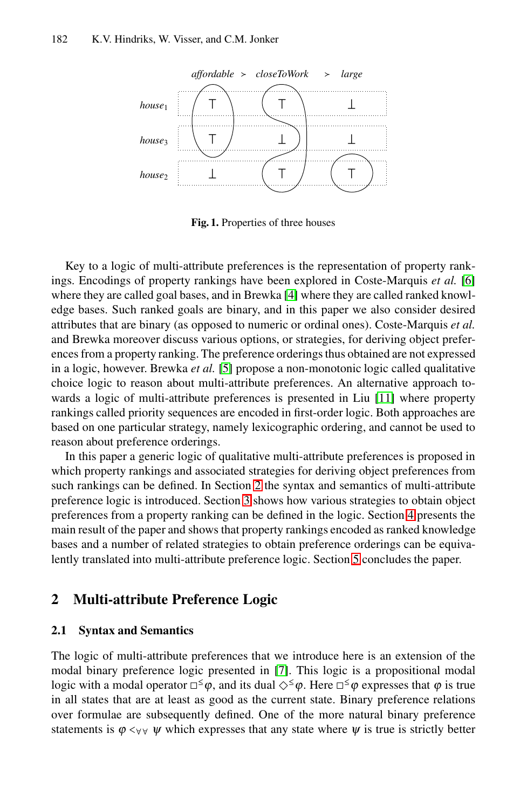<span id="page-1-1"></span>

**Fig. 1.** Properties of three houses

Key to a lo[gi](#page-14-3)c of multi-attribute preferences is the representation of property rankings. Encodings of property rankings have b[een](#page-14-5) explored in Coste-Marquis *et al.* [6] where they are called goal bases, and in Brewka [4] where they are called ranked knowledge bases. Such ranked goals are binary, and in this paper we also consider desired attributes that are binary (as opposed to numeric or ordinal ones). Coste-Marquis *et al.* and Brewka moreover discuss various options, or strategies, for deriving object preferences from a property ranking. The preference orderings thus obtained are not expressed in a logic, however. [Br](#page-1-0)ewka *et al.* [5] propose a non-monotonic logic called qualitative choice logic to re[as](#page-8-0)on about multi-attribute preferences. An alternative approach towards a logic of multi-attribute preferences is pre[sen](#page-10-0)ted in Liu [11] where property rankings called priority sequences are encoded in first-order logic. Both approaches are based on one particular strategy, namely lexicographic ordering, and cannot be used to reason about preference orderings.

<span id="page-1-0"></span>In this paper a generic logic of qualit[ativ](#page-13-0)e multi-attribute preferences is proposed in which property rankings and associated strategies for deriving object preferences from such rankings can be defined. In Section 2 the syntax and semantics of multi-attribute preference logic is introduced. Section 3 shows how various strategies to obtain object preferences from a property ranking can be defined in the logic. Section 4 presents the main result of the paper and shows that property rankings encoded as ranked knowledge bases and a number of related strategies to obtain preference orderings can be equivalently translated into mul[ti-](#page-14-9)attribute preference logic. Section 5 concludes the paper.

## **2 Multi-attribute Preference Logic**

## **2.1 Syntax and Semantics**

The logic of multi-attribute preferences that we introduce here is an extension of the modal binary preference logic presented in [7]. This logic is a propositional modal logic with a modal operator  $\square^{\leq} \varphi$ , and its dual  $\diamondsuit^{\leq} \varphi$ . Here  $\square^{\leq} \varphi$  expresses that  $\varphi$  is true in all states that are at least as good as the current state. Binary preference relations over formulae are subsequently defined. One of the more natural binary preference statements is  $\varphi \lt_{\forall \forall} \psi$  which expresses that any state where  $\psi$  is true is strictly better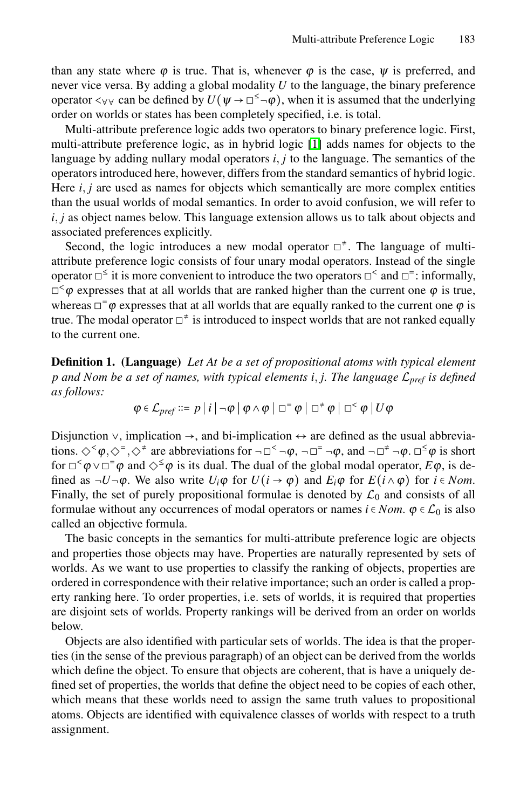than any state where  $\varphi$  is true. That is, whenever  $\varphi$  is the case,  $\psi$  is preferred, and never vice versa. By adding a global modality *U* to the language, the binary preference operator < $\forall \forall$  can be defined by  $U(\psi \rightarrow \Box^{\leq} \neg \varphi)$ , when it is assumed that the underlying order on worlds or states has been completely specified, i.e. is total.

Multi-attribute preference logic adds two operators to binary preference logic. First, multi-attribute preference logic, as in hybrid logic [1] adds names for objects to the language by adding nullary modal operators *i, j* to the language. The semantics of the operators introduced here, however, differs from the standard semantics of hybrid logic. Here  $i, j$  are used as names for objects which semantically are more complex entities than the usual worlds of modal semantics. In order to avoid confusion, we will refer to *i, j* as object names below. This language extension allows us to talk about objects and associated preferences explicitly.

Second, the logic introduces a new modal operator  $\Box^+$ . The language of multiattribute preference logic consists of four unary modal operators. Instead of the single operator  $\square^{\le}$  it is more convenient to introduce the two operators  $\square^{\le}$  and  $\square^{\le}$ : informally,  $\square^< \varphi$  expresses that at all worlds that are ranked higher than the current one  $\varphi$  is true, whereas  $\Box^{\dagger} \varphi$  expresses that at all worlds that are equally ranked to the current one  $\varphi$  is true. The modal operator  $\Box^{\dagger}$  is introduced to inspect worlds that are not ranked equally to the current one.

**Definition 1. (Language)** *Let At be a set of propositional atoms with typical element p and Nom be a set of names, with typical elements i, j. The language* L*pref is defined as follows:*

$$
\varphi \in \mathcal{L}_{pref} ::= p | i | \neg \varphi | \varphi \wedge \varphi | \square^= \varphi | \square^+ \varphi | \square^< \varphi | U \varphi
$$

Disjunction ∨, implication →, and bi-implication ↔ are defined as the usual abbreviations.  $\Diamond^{\lt} \varphi, \Diamond^{\lt}$ ,  $\Diamond^{\neq}$  are abbreviations for  $\neg \Box^{\lt} \neg \varphi$ ,  $\neg \Box^{\gt} \neg \varphi$ , and  $\neg \Box^{\neq} \neg \varphi$ .  $\Box^{\leq} \varphi$  is short for  $\Box^< \varphi \lor \Box^= \varphi$  and  $\Diamond^< \varphi$  is its dual. The dual of the global modal operator,  $E \varphi$ , is defined as  $\neg U \neg \varphi$ . We also write  $U_i \varphi$  for  $U(i \rightarrow \varphi)$  and  $E_i \varphi$  for  $E(i \wedge \varphi)$  for  $i \in N$ *om*. Finally, the set of purely propositional formulae is denoted by  $\mathcal{L}_0$  and consists of all formulae without any occurrences of modal operators or names  $i \in N$ *om*.  $\varphi \in \mathcal{L}_0$  is also called an objective formula.

<span id="page-2-0"></span>The basic concepts in the semantics for multi-attribute preference logic are objects and properties those objects may have. Properties are naturally represented by sets of worlds. As we want to use properties to classify the ranking of objects, properties are ordered in correspondence with their relative importance; such an order is called a property ranking here. To order properties, i.e. sets of worlds, it is required that properties are disjoint sets of worlds. Property rankings will be derived from an order on worlds below.

Objects are also identified with particular sets of worlds. The idea is that the properties (in the sense of the previous paragraph) of an object can be derived from the worlds which define the object. To ensure that objects are coherent, that is have a uniquely defined set of properties, the worlds that define the object need to be copies of each other, which means that these worlds need to assign the same truth values to propositional atoms. Objects are identified with equivalence classes of worlds with respect to a truth assignment.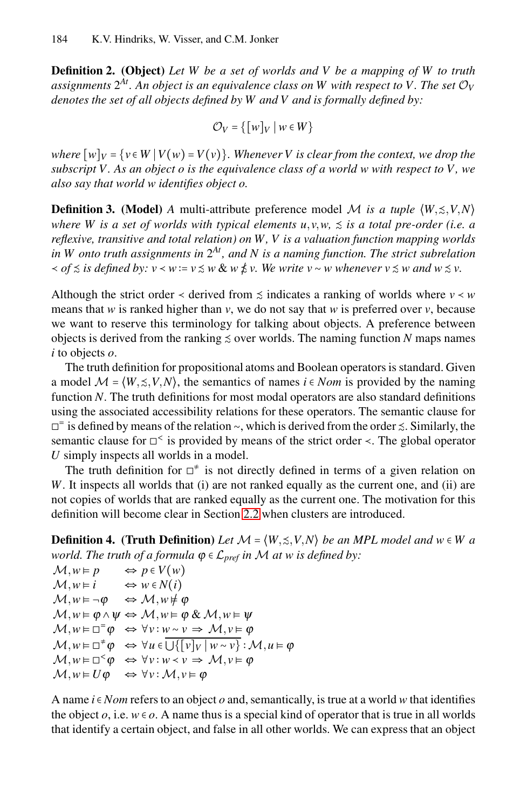**Definition 2. (Object)** *Let W be a set of worlds and V be a mapping of W to truth assignments*  $2^{At}$ *. An object is an equivalence class on W with respect to V. The set*  $\mathcal{O}_V$ *denotes the set of all objects defined by W and V and is formally defined by:*

$$
\mathcal{O}_V = \{ [w]_V \mid w \in W \}
$$

*where*  $[w]_V = \{v \in W | V(w) = V(v)\}$ *. Whenever V is clear from the context, we drop the subscript V. As an object o is the equivalence class of a world w with respect to V , we also say that world w identifies object o.*

**Definition 3.** (Model) *A* multi-attribute preference model *M is a tuple*  $\langle W, \leq, V, N \rangle$ *where W is a set of worlds with typical elements*  $u, v, w$ *,*  $\leq$  *is a total pre-order (i.e. a reflexive, transitive and total relation) on W, V is a valuation function mapping worlds in W onto truth assignments in* 2*At, and N is a naming function. The strict subrelation* ≺ *of* ≾ *is defined by: v* ≺ *w* ∶= *v* ≾ *w* & *w* ≾/ *v. We write v* ∼ *w whenever v* ≾ *w and w* ≾ *v.*

Although the strict order ≺ derived from ≾ indicates a ranking of worlds where *v* ≺ *w* means that *w* is ranked higher than *v*, we do not say that *w* is preferred over *v*, because we want to reserve this terminology for talking about objects. A preference between objects is derived from the ranking ≾ over worlds. The naming function *N* maps names *i* to objects *o*.

The truth definition for propositional atoms and Boolean operators is standard. Given a model  $\mathcal{M} = \langle W, \leq V, N \rangle$ , the semantics of names  $i \in N$ *om* is provided by the naming function *N*. The tr[uth d](#page-5-0)efinitions for most modal operators are also standard definitions using the associated accessibility relations for these operators. The semantic clause for ◻<sup>=</sup> is defined by means of the relation ∼, which is derived from the order ≾. Similarly, the semantic clause for  $\Box^{\lt}$  is provided by means of the strict order  $\lt$ . The global operator *U* simply inspects all worlds in a model.

The truth definition for  $\Box^{\dagger}$  is not directly defined in terms of a given relation on *W*. It inspects all worlds that (i) are not ranked equally as the current one, and (ii) are not copies of worlds that are ranked equally as the current one. The motivation for this definition will become clear in Section 2.2 when clusters are introduced.

**Definition 4.** (Truth Definition) Let  $\mathcal{M} = \langle W, \leq, V, N \rangle$  be an MPL model and  $w \in W$  a *world. The truth of a formula*  $\varphi \in \mathcal{L}_{pref}$  *in*  $\mathcal M$  *at w is defined by:* 

 $\mathcal{M}, w \models p \Leftrightarrow p \in V(w)$  $M, w \models i \iff w \in N(i)$  $M, w \models \neg \varphi \Leftrightarrow M, w \not\models \varphi$  $M, w \models \varphi \land \psi \Leftrightarrow M, w \models \varphi \& M, w \models \psi$  $M, w \models \Box^= \varphi \Leftrightarrow \forall v : w \sim v \Rightarrow M, v \models \varphi$  $\mathcal{M}, w \models \Box^{\neq} \varphi \Leftrightarrow \forall u \in \overline{\bigcup \{v|v|w|w \sim v\}} : \mathcal{M}, u \models \varphi$  $\mathcal{M}, w \vDash \Box^{\leq} \varphi \iff \forall v: w \prec v \implies \mathcal{M}, v \vDash \varphi$  $\mathcal{M}, w \models U \varphi \Leftrightarrow \forall v : \mathcal{M}, v \models \varphi$ 

A name *i* ∈*Nom* refers to an object *o* and, semantically, is true at a world *w* that identifies the object  $o$ , i.e.  $w \in o$ . A name thus is a special kind of operator that is true in all worlds that identify a certain object, and false in all other worlds. We can express that an object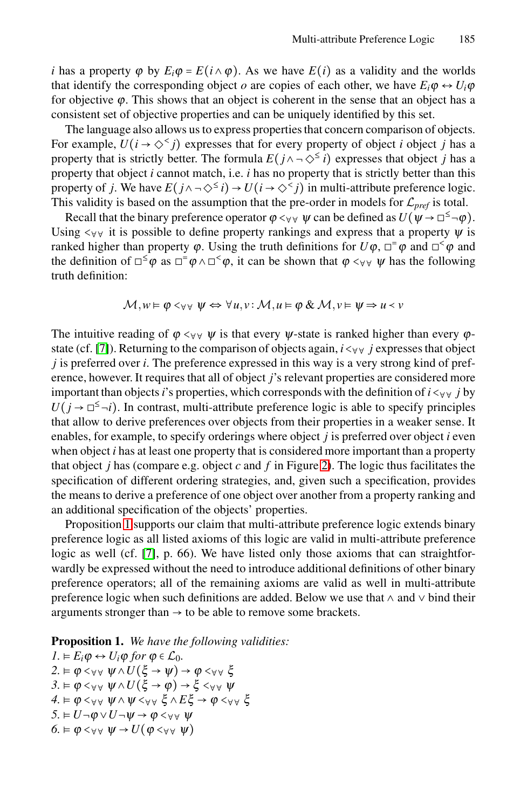*i* has a property  $\varphi$  by  $E_i\varphi = E(i \wedge \varphi)$ . As we have  $E(i)$  as a validity and the worlds that identify the corresponding object *o* are copies of each other, we have  $E_i\varphi \leftrightarrow U_i\varphi$ for objective  $\varphi$ . This shows that an object is coherent in the sense that an object has a consistent set of objective properties and can be uniquely identified by this set.

The language also allows us to express properties that concern comparison of objects. For example,  $U(i \rightarrow \diamondsuit j)$  expresses that for every property of object *i* object *j* has a property that is strictly better. The formula  $E(j \wedge \neg \Diamond^{\leq} i)$  expresses that object *j* has a property that object *i* cannot match, i.e. *i* has no property that is strictly better than this property of *j*. We have  $E(j \land \neg \Diamond^{\leq} i) \rightarrow U(i \rightarrow \Diamond^{\leq} j)$  in multi-attribute preference logic. This validity is based on the assumption that the pre-order in models for  $\mathcal{L}_{pref}$  is total.

Recall that the binary preference operator  $\varphi \lt_{\forall \forall} \psi$  can be defined as  $U(\psi \to \Box^{\leq} \neg \varphi)$ . Using  $\lt_{\forall \forall}$  it is possible to define property rankings and express that a property  $\psi$  is ranked higher than property  $\varphi$ . Using the truth definitions for  $U\varphi$ ,  $\Box^{\dagger}\varphi$  and  $\Box^{\dagger}\varphi$  and the definition of  $\square^{\leq} \varphi$  as  $\square^{\leq} \varphi \wedge \square^{\leq} \varphi$ , it can be shown that  $\varphi \lt_{\forall \forall} \psi$  has the following truth definition:

$$
\mathcal{M}, w \vDash \varphi \langle \forall \forall \ \psi \Leftrightarrow \forall u, v : \mathcal{M}, u \vDash \varphi \& \mathcal{M}, v \vDash \psi \Rightarrow u \langle v \rangle
$$

The intuitive reading of  $\varphi \lt_{\forall \forall} \psi$  is that every  $\psi$ -state is ranked higher than every  $\varphi$ state (cf. [7]). Returning to the co[mpa](#page-6-0)rison of objects again,  $i \lt_{\forall \forall} j$  expresses that object *j* is preferred over *i*. The preference expressed in this way is a very strong kind of preference, however. It requires that all of object *j*'s relevant properties are considered more important than objects *i*'s properties, which corresponds with the definition of  $i < y \nmid y$  *i* by  $U(j \rightarrow \Box^{\leq} \neg i)$ . In contrast, multi-attribute preference logic is able to specify principles that allow to derive preferences over objects from their properties in a weaker sense. It [e](#page-14-9)nables, for example, to specify orderings where object *j* is preferred over object *i* even when object *i* has at least one property that is considered more important than a property that object *j* has (compare e.g. object *c* and *f* in Figure 2). The logic thus facilitates the specification of different ordering strategies, and, given such a specification, provides the means to derive a preference of one object over another from a property ranking and an additional specification of the objects' properties.

Proposition 1 supports our claim that multi-attribute preference logic extends binary preference logic as all listed axioms of this logic are valid in multi-attribute preference logic as well (cf. [7], p. 66). We have listed only those axioms that can straightforwardly be expressed without the need to introduce additional definitions of other binary preference operators; all of the remaining axioms are valid as well in multi-attribute preference logic when such definitions are added. Below we use that ∧ and ∨ bind their arguments stronger than  $\rightarrow$  to be able to remove some brackets.

**Proposition 1.** *We have the following validities:*

 $I. \vDash E_i \varphi \leftrightarrow U_i \varphi$  *for*  $\varphi \in \mathcal{L}_0$ *.* 2.  $\varepsilon \varphi \langle \forall \forall \psi \wedge U(\xi \to \psi) \to \varphi \langle \forall \forall \xi$  $3. \vDash \varphi \leq_{\forall \forall} \psi \wedge U(\xi \to \varphi) \to \xi \leq_{\forall \forall} \psi$ *4.* ⊧ <sup>ϕ</sup> <∀∀ <sup>ψ</sup> ∧<sup>ψ</sup> <∀∀ ξ ∧*E*ξ → <sup>ϕ</sup> <∀∀ ξ  $5. \vDash U \neg \varphi \vee U \neg \psi \rightarrow \varphi \lt_{\forall \forall} \psi$  $6. \vDash \varphi \iff \psi \rightarrow U(\varphi \iff \psi)$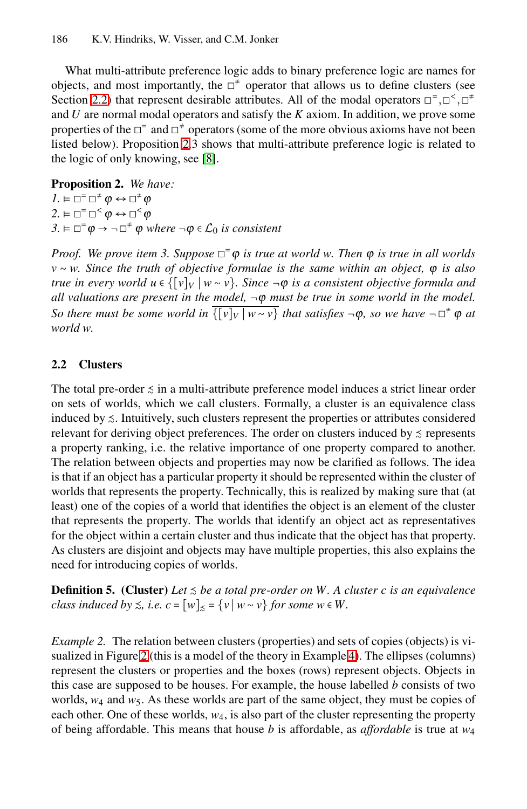<span id="page-5-1"></span><span id="page-5-0"></span>What multi-attribute preference logic adds to binary preference logic are names for objects, and most importantly, the  $\Box^*$  operator that allows us to define clusters (see Section 2.2) that represent desirable attributes. All of the modal operators  $□$ <sup>=</sup>,  $□$ <sup>≠</sup>,  $□$ <sup>≠</sup> and *U* are normal modal operators and satisfy the *K* axiom. In addition, we prove some properties of the  $\Box$  and  $\Box$  operators (some of the more obvious axioms have not been listed below). Proposition 2.3 shows that multi-attribute preference logic is related to the logic of only knowing, see [8].

**Proposition 2.** *We have:*  $l. \vDash \Box^{\equiv} \Box^{\neq} \varphi \leftrightarrow \Box^{\neq} \varphi$  $2. \vDash \square^{\neg} \square^{\leq} \varphi \leftrightarrow \square^{\leq} \varphi$  $3. \vDash \Box^= \varphi \rightarrow \neg \Box^+ \varphi$  *where*  $\neg \varphi \in \mathcal{L}_0$  *is consistent* 

*Proof.* We prove item 3. Suppose  $\Box^{\Box} \varphi$  is true at world w. Then  $\varphi$  is true in all worlds *v* ∼ *w. Since the truth of objective formulae is the same within an object,* <sup>ϕ</sup> *is also true in every world u* ∈ { $[v]_V$  |  $w \sim v$ }*. Since*  $\neg \varphi$  *is a consistent objective formula and all valuations are present in the model,* ¬<sup>ϕ</sup> *must be true in some world in the model. So there must be some world in*  $\sqrt{[v]_V | w \sim v}$  *that satisfies*  $\neg \varphi$ *, so we have*  $\neg \Box^{\dagger} \varphi$  *at world w.*

### **2.2 Clusters**

The total pre-order ≾ in a multi-attribute preference model induces a strict linear order on sets of worlds, which we call clusters. Formally, a cluster is an equivalence class induced by ≾. Intuitively, such clusters represent the properties or attributes considered relevant for deriving object preferences. The order on clusters induced by  $\leq$  represents a property ranking, i.e. the relative importance of one property compared to another. The relation between objects and properties may now be clarified as follows. The idea is that if an object has a particular property it should be represented within the cluster of worlds that represents the property. Technically, this is realized by making sure that (at least) one of the copies of a world that identifies the object is an element of the cluster that represents the property. The worlds that identify an object act as representatives for the object within a certain cluster an[d t](#page-11-0)hus indicate that the object has that property. As clusters are disjoint and objects may have multiple properties, this also explains the need for introducing copies of worlds.

**Definition 5. (Cluster)** *Let* ≾ *be a total pre-order on W. A cluster c is an equivalence class induced by*  $\leq$ *, i.e. c* =  $[w]_{\leq}$  =  $\{v | w \sim v\}$  *for some*  $w \in W$ *.* 

*Example 2.* The relation between clusters (properties) and sets of copies (objects) is visualized in Figure 2 (this is a model of the theory in Example 4). The ellipses (columns) represent the clusters or properties and the boxes (rows) represent objects. Objects in this case are supposed to be houses. For example, the house labelled *b* consists of two worlds,  $w_4$  and  $w_5$ . As these worlds are part of the same object, they must be copies of each other. One of these worlds,  $w_4$ , is also part of the cluster representing the property of being affordable. This means that house *b* is affordable, as *affordable* is true at *w*<sup>4</sup>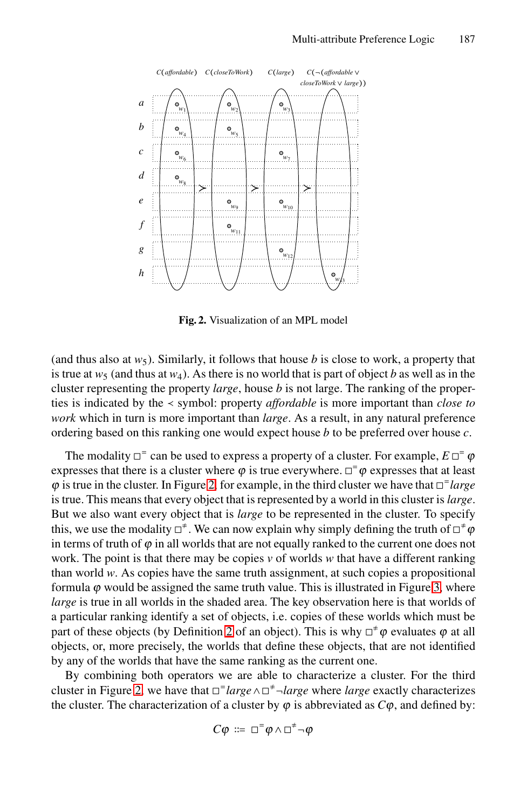#### Multi-attribute Preference Logic 187

<span id="page-6-0"></span>

**Fig. 2.** Visualization of an MPL model

(and thus also at  $w_5$ ). Similarly, it follows that house *b* is close to work, a property that is true at  $w_5$  [\(](#page-6-0)and thus at  $w_4$ ). As there is no world that is part of object *b* as well as in the cluster representing the property *large*, house *b* is not large. The ranking of the properties is indicated by the ≺ symbol: property *affordable* is more important than *close to work* which in turn is more important than *large*. As a result, in any natural preference ordering based on this ranking one would expect house *b* to be preferred over house *c*.

The modality  $\square$ <sup>=</sup> can be used to express a property of a cluster. For example,  $E \square$ <sup>=</sup>  $\varphi$ expresses that there is a cluster where  $\varphi$  is true everywhe[re.](#page-7-0)  $\square^{\dagger} \varphi$  expresses that at least  $\varphi$  is true in the cluster. In Figure 2, for example, in the third cluster we have that  $\Box^{-1}$ *large* is true. This means that every object that is represented by a world in this cluster is *large*. But we also w[an](#page-2-0)t every object that is *large* to be represented in the cluster. To specify this, we use the modality  $\Box^+$ . We can now explain why simply defining the truth of  $\Box^+\varphi$ in terms of truth of  $\varphi$  in all worlds that are not equally ranked to the current one does not work. The point is that there may be copies *v* of worlds *w* that have a different ranking than world *w*. As copies have the same truth assignment, at such copies a propositional formula  $\varphi$  would be assigned the same truth value. This is illustrated in Figure 3, where *large* is true in all worlds in the shaded area. The key observation here is that worlds of a particular ranking identify a set of objects, i.e. copies of these worlds which must be part of these objects (by Definition 2 of an object). This is why  $\Box^{\neq} \varphi$  evaluates  $\varphi$  at all objects, or, more precisely, the worlds that define these objects, that are not identified by any of the worlds that have the same ranking as the current one.

By combining both operators we are able to characterize a cluster. For the third cluster in Figure 2, we have that  $□<sup>=</sup> large ∩ □<sup>≠</sup>¬*large* where *large* exactly characterizes$ the cluster. The characterization of a cluster by  $\varphi$  is abbreviated as  $C\varphi$ , and defined by:

 $C\varphi$  ::=  $\Box^{\dagger} \varphi \wedge \Box^{\dagger} \neg \varphi$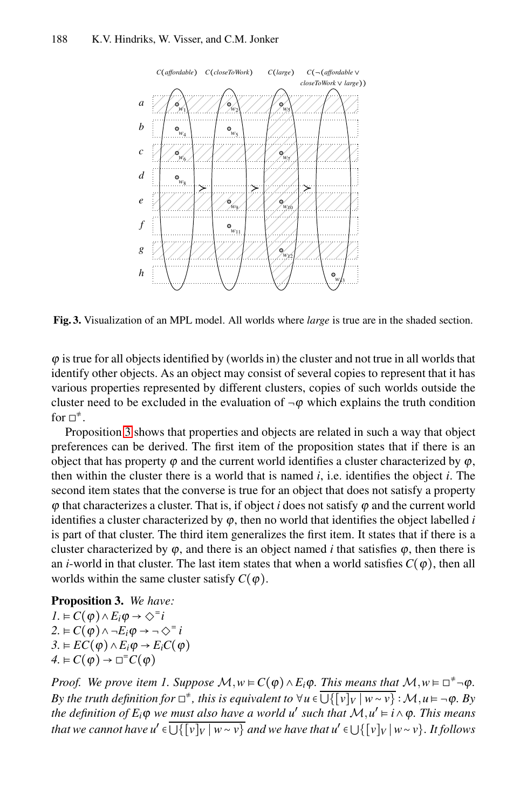<span id="page-7-0"></span>

**Fig. 3.** Visualization of an MPL model. All worlds where *large* is true are in the shaded section.

<span id="page-7-1"></span> $\varphi$  is true for all objects identified by (worlds in) the cluster and not true in all worlds that identify other objects. As an object may consist of several copies to represent that it has various properties represented by different clusters, copies of such worlds outside the cluster need to be excluded in the evaluation of  $\neg \varphi$  which explains the truth condition for  $\Box^*$ .

Proposition 3 shows that properties and objects are related in such a way that object preferences can be derived. The first item of the proposition states that if there is an object that has property  $\varphi$  and the current world identifies a cluster characterized by  $\varphi$ , then within the cluster there is a world that is named *i*, i.e. identifies the object *i*. The second item states that the converse is true for an object that does not satisfy a property  $\varphi$  that characterizes a cluster. That is, if object *i* does not satisfy  $\varphi$  and the current world identifies a cluster characterized by  $\varphi$ , then no world that identifies the object labelled *i* is part of that cluster. The third item generalizes the first item. It states that if there is a cluster characterized by  $\varphi$ , and there is an object named *i* that satisfies  $\varphi$ , then there is an *i*-world in that cluster. The last item states that when a world satisfies  $C(\varphi)$ , then all worlds within the same cluster satisfy  $C(\varphi)$ .

### **Proposition 3.** *We have:*

*I*. ⊨  $C$ ( $\varphi$ ) ∧  $E_i \varphi \rightarrow \diamondsuit^{\exists} i$  $2.$  ⊨ *C*( $\phi$ ) ∧  $\neg E_i$  $\phi$  →  $\neg$   $\diamond$ <sup>=</sup> *i*  $3. ⊨ EC(φ) ∧ E_i φ → E_i C(φ)$  $4. \vDash C(\varphi) \rightarrow \Box^{\dagger} C(\varphi)$ 

*Proof.* We prove item 1. Suppose  $\mathcal{M}, w \models C(\varphi) \land E_i \varphi$ . This means that  $\mathcal{M}, w \models \Box^{\neq} \neg \varphi$ . *By the truth definition for*  $\Box^{\dagger}$ *, this is equivalent to*  $\forall u \in \overline{\bigcup \{v|v| |w| \lor v\}}$ :  $\mathcal{M}, u \models \neg \phi$ *. By the definition of E<sub>i</sub>* $\varphi$  *<i>we must also have a world u' such that*  $M, u' \models i \land \varphi$ *. This means that we cannot have u'* ∈  $\overline{U\{v|_V | w \sim v\}}$  *and we have that u'* ∈  $\bigcup \{ [v|_V | w \sim v \}$ *. It follows*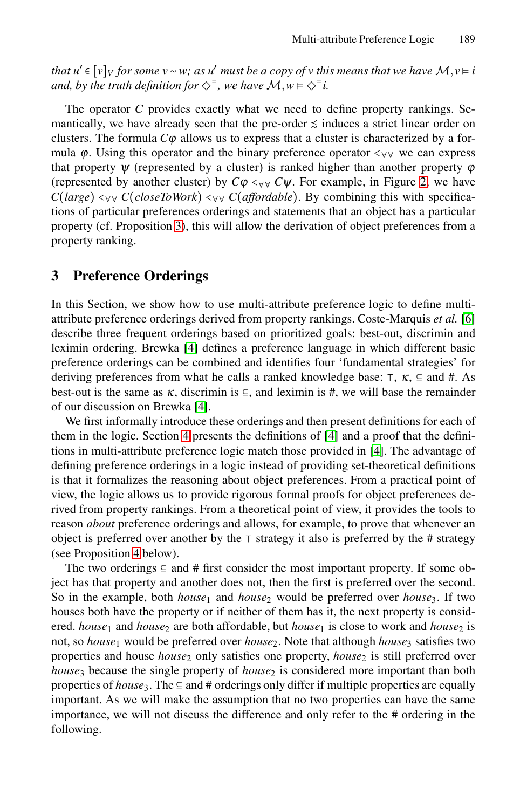<span id="page-8-0"></span>*that*  $u' \in [v]_V$  *for some*  $v \sim w$ *; as u' must be a copy of v [thi](#page-6-0)s means that we have*  $\mathcal{M}, v \models i$ *and, by the truth definition for*  $\Diamond^=$ *, we have*  $M, w \models \Diamond^= i$ *.* 

T[he](#page-7-1) operator *C* provides exactly what we need to define property rankings. Semantically, we have already seen that the pre-order  $\leq$  induces a strict linear order on clusters. The formula *C*ϕ allows us to express that a cluster is characterized by a formula  $\varphi$ . Using this operator and the binary preference operator  $\langle \forall \forall \psi \rangle$  we can express that property  $\psi$  (represented by a cluster) is ranked higher than another property  $\varphi$ (represented by another cluster) by  $C\varphi \lt_{\forall \forall} C\psi$ . For example, in Figure 2, we have  $C(large) \leq_V \vee C(closeToWork) \leq_V \vee C(affordable)$ . By combining this with specifications of particular preferences orderings and statements that a[n](#page-14-4) [o](#page-14-4)bject has a particular property (cf. Proposition 3), this will allow the derivation of object preferences from a proper[ty](#page-14-2) ranking.

## **3 Preference Orderings**

In this S[ec](#page-14-2)tion, we show how to use multi-attribute preference logic to define multiattrib[ute](#page-10-0) preference orderings deriv[ed](#page-14-2) from property rankings. Coste-Marquis *et al.* [6] describe three frequent orderings based on [pr](#page-14-2)ioritized goals: best-out, discrimin and leximin ordering. Brewka [4] defines a preference language in which different basic preference orderings can be combined and identifies four 'fundamental strategies' for deriving preferences from what he calls a ranked knowledge base:  $\tau$ ,  $\kappa$ ,  $\epsilon$  and #. As best-out is the same as  $\kappa$ , discrimin is  $\epsilon$ , and leximin is #, we will base the remainder of our discussion on Brewka [4].

We first informally introduce these orderings and then present definitions for each of them in the logic. Section 4 presents the definitions of [4] and a proof that the definitions in multi-attribute preference logic match those provided in [4]. The advantage of defining preference orderings in a logic instead of providing set-theoretical definitions is that it formalizes the reasoning about object preferences. From a practical point of view, the logic allows us to provide rigorous formal proofs for object preferences derived from property rankings. From a theoretical point of view, it provides the tools to reason *about* preference orderings and allows, for example, to prove that whenever an object is preferred over another by the ⊺ strategy it also is preferred by the # strategy (see Proposition 4 below).

The two orderings  $\subseteq$  and # first consider the most important property. If some object has that property and another does not, then the first is preferred over the second. So in the example, both *house*<sup>1</sup> and *house*<sup>2</sup> would be preferred over *house*3. If two houses both have the property or if neither of them has it, the next property is considered. *house*<sub>1</sub> and *house*<sub>2</sub> are both affordable, but *house*<sub>1</sub> is close to work and *house*<sub>2</sub> is not, so *house*<sup>1</sup> would be preferred over *house*2. Note that although *house*<sup>3</sup> satisfies two properties and house *house*<sub>2</sub> only satisfies one property, *house*<sub>2</sub> is still preferred over *house*<sub>3</sub> because the single property of *house*<sub>2</sub> is considered more important than both properties of *house*3. The ⊆ and # orderings only differ if multiple properties are equally important. As we will make the assumption that no two properties can have the same importance, we will not discuss the difference and only refer to the # ordering in the following.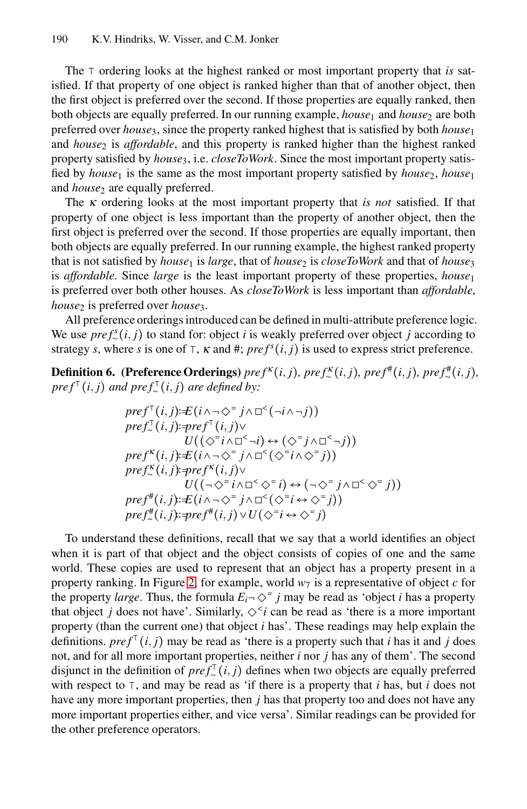<span id="page-9-0"></span>The ⊺ ordering looks at the highest ranked or most important property that *is* satisfied. If that property of one object is ranked higher than that of another object, then the first object is preferred over the second. If those properties are equally ranked, then both objects are equally preferred. In our running example, *house*<sub>1</sub> and *house*<sub>2</sub> are both preferred over *house*3, since the property ranked highest that is satisfied by both *house*<sup>1</sup> and *house*<sup>2</sup> is *affordable*, and this property is ranked higher than the highest ranked property satisfied by *house*3, i.e. *closeToWork*. Since the most important property satisfied by *house*<sub>1</sub> is the same as the most important property satisfied by *house*<sub>2</sub>, *house*<sub>1</sub> and *house*<sub>2</sub> are equally preferred.

The <sup>κ</sup> ordering looks at the most important property that *is not* satisfied. If that property of one object is less important than the property of another object, then the first object is preferred over the second. If those properties are equally important, then both objects are equally preferred. In our running example, the highest ranked property that is not satisfied by *house*<sub>1</sub> is *large*, that of *house*<sub>2</sub> is *closeToWork* and that of *house*<sub>3</sub> is *affordable*. Since *large* is the least important property of these properties, *house*<sup>1</sup> is preferred over both other houses. As *closeToWork* is less important than *affordable*, *house*<sup>2</sup> is preferred over *house*3.

All preference orderings introduced can be defined in multi-attribute preference logic. We use  $pref<sub>n</sub><sup>s</sup>(i,j)$  to stand for: object *i* is weakly preferred over object *j* according to strategy *s*, where *s* is one of  $\top$ ,  $\kappa$  and  $\#$ ;  $pref^s(i,j)$  is used to express strict preference.

**Definition 6.** (Preference Orderings)  $pref^{k}(i,j)$ ,  $pref^{k}_{\sim}(i,j)$ ,  $pref^{*}_{\sim}(i,j)$ ,  $pref^{*}_{\sim}(i,j)$ ,  $pref^{\top}(i,j)$  *and*  $pref^{\top}_{\sim}(i,j)$  *are defined by:* 

$$
pref^{T}(i,j):E(i \wedge \neg \Diamond^{\exists} j \wedge \Box^{<}(\neg i \wedge \neg j))
$$
\n
$$
pref^{T}_{\sim}(i,j):=pref^{T}(i,j)\vee
$$
\n
$$
U((\Diamond^{\exists} i \wedge \Box^{<} \neg i) \leftrightarrow (\Diamond^{\exists} j \wedge \Box^{<} \neg j))
$$
\n
$$
pref^{K}(i,j):E(i \wedge \neg \Diamond^{\exists} j \wedge \Box^{<} (\Diamond^{\exists} i \wedge \Diamond^{\exists} j))
$$
\n
$$
pref^{K}_{\sim}(i,j):=pref^{K}(i,j)\vee
$$
\n
$$
U((\neg \Diamond^{\exists} i \wedge \Box^{<} \Diamond^{\exists} i) \leftrightarrow (\neg \Diamond^{\exists} j \wedge \Box^{<} \Diamond^{\exists} j))
$$
\n
$$
pref^{H}_{\sim}(i,j):=F(f^{H}_{\sim}(i,j) \vee U(\Diamond^{\exists} i \leftrightarrow \Diamond^{\exists} j))
$$
\n
$$
pref^{H}_{\sim}(i,j):=pref^{H}_{\sim}(i,j)\vee U(\Diamond^{\exists} i \leftrightarrow \Diamond^{\exists} j)
$$

To understand these definitions, recall that we say that a world identifies an object when it is part of that object and the object consists of copies of one and the same world. These copies are used to represent that an object has a property present in a property ranking. In Figure 2, for example, world  $w_7$  is a representative of object *c* for the property *large*. Thus, the formula  $E_i \sim \Diamond^* j$  may be read as 'object *i* has a property that object *j* does not have'. Similarly,  $\Diamond^{\lt} i$  can be read as 'there is a more important property (than the current one) that object *i* has'. These readings may help explain the definitions. *pre*  $f^{\dagger}(i, j)$  may be read as 'there is a property such that *i* has it and *j* does not, and for all more important properties, neither *i* nor *j* has any of them'. The second disjunct in the definition of  $pref^{\top}(i,j)$  defines when two objects are equally preferred with respect to ⊺, and may be read as 'if there is a property that *i* has, but *i* does not have any more important properties, then *j* has that property too and does not have any more important properties either, and vice versa'. Similar readings can be provided for the other preference operators.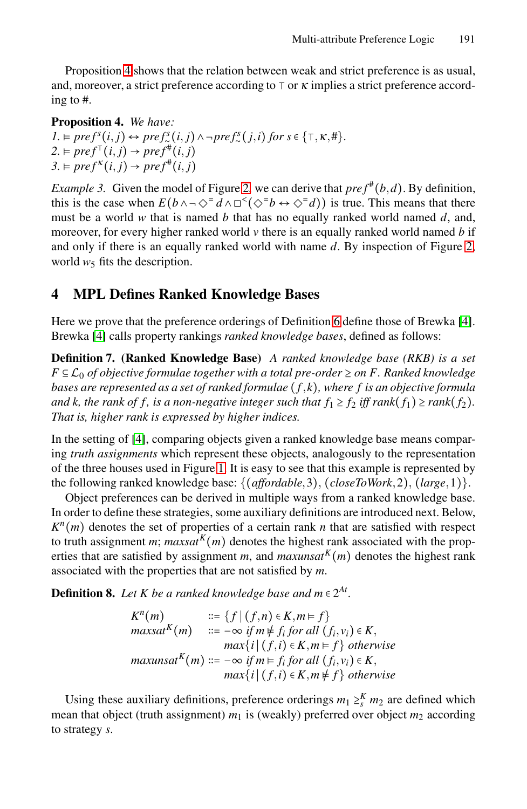<span id="page-10-1"></span><span id="page-10-0"></span>Proposition 4 s[ho](#page-6-0)ws that the relation between weak and strict preference is as usual, and, moreover, a strict preference according to  $\top$  or  $\kappa$  implies a strict preference according to #.

**Proposition 4.** *We have:*  $1. \vDash \text{pref}^s(i,j) \leftrightarrow \text{pref}^s_{\sim}(i,j) \land \neg \text{pref}^s_{\sim}(j,i) \text{ for } s \in \{\top, \mathcal{K}, \# \}.$  $2.$   $\models pref^{\top}(i,j) \rightarrow pref^{\#}(i,j)$  $3. \vDash$  *pre*  $f^{k}(i, j) \rightarrow$  *pre*  $f^{*}(i, j)$ 

*Example 3.* Given the model of Figure 2, we can derive that  $pref^*(b,d)$ . By definition, this is the case when  $E(b \wedge \neg \Diamond^{\exists} d \wedge \Box^{\langle} (\Diamond^{\exists} b \leftrightarrow \Diamond^{\exists} d))$  is tru[e. T](#page-14-2)his means that there must be a world *w* that is named *b* that has no equally ranked world named *d*, and, moreover, for every higher ranked world *v* there is an equally ranked world named *b* if and only if there is an equally ranked world with name *d*. By inspection of Figure 2, world  $w_5$  fits the description.

## **4 MPL Defines Ranked Knowledge Bases**

Here we prove that the preference orderings of Definition 6 define those of Brewka [4]. Brewka [4] calls property rankings *ranked knowledge bases*, defined as follows:

**Definition 7. [\(](#page-1-1)Ranked Knowledge Base)** *A ranked knowledge base (RKB) is a set F* ⊆ L<sup>0</sup> *of objective formulae together with a total pre-order* ≥ *on F. Ranked knowledge bases are represented as a set of ranked formulae* ( *f,k*)*, where f is an objective formula and k, the rank of f, is a non-negative integer such that*  $f_1 \ge f_2$  *iff rank*( $f_1$ ) ≥ *rank*( $f_2$ )*. That is, higher rank is expressed by higher indices.*

In the setting of [4], comparing objects given a ranked knowledge base means comparing *truth assignments* which represent these objects, analogously to the representation of the three houses used in Figure 1. It is easy to see that this example is represented by the following ranked knowledge base: {(*affordable,*3)*,* (*closeToWork,*2)*,* (*large,*1)}.

Object preferences can be derived in multiple ways from a ranked knowledge base. In order to define these strategies, some auxiliary definitions are introduced next. Below,  $K<sup>n</sup>(m)$  denotes the set of properties of a certain rank *n* that are satisfied with respect to truth assignment *m*;  $maxsat^{K}(m)$  denotes the highest rank associated with the properties that are satisfied by assignment *m*, and  $maxunsat<sup>K</sup>(m)$  denotes the highest rank associated with the properties that are not satisfied by *m*.

**Definition 8.** *Let K be a ranked knowledge base and m*  $\in 2^{At}$ *.* 

*K<sup>n</sup>*(*m*)  $::= \{f | (f, n) \in K, m \in f\}$  $maxsat^{K}(m)$  ∷=  $-\infty$  *if*  $m \neq f_i$  *for all*  $(f_i, v_i) \in K$ *,*  $max\{i | (f, i) \in K, m \in f\}$  *otherwise*  $maxunsat^{K}(m) ::= -\infty$  *if*  $m \vDash f_{i}$  *for all*  $(f_{i}, v_{i}) \in K$ *,*  $max{i | (f,i) ∈ K, m#f}$  *otherwise* 

Using these auxiliary definitions, preference orderings  $m_1 \geq s$   $m_2$  are defined which mean that object (truth assignment)  $m_1$  is (weakly) preferred over object  $m_2$  according to strategy *s*.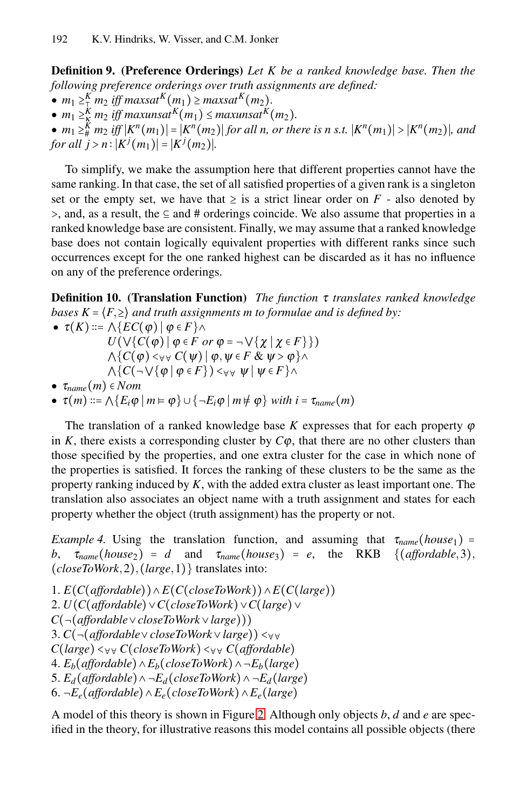**Definition 9. (Preference Orderings)** *Let K be a ranked knowledge base. Then the following preference orderings over truth assignments are defined:*

- $m_1 \geq N \leq m_2$  *iff maxsat*<sup>*K*</sup>(*m*<sub>1</sub>) ≥ *maxsat*<sup>*K*</sup>(*m*<sub>2</sub>)*.*
- $m_1 \geq K m_2$  *iff maxunsat*<sup>*K*</sup>(*m*<sub>1</sub>) ≤ *maxunsat*<sup>*K*</sup>(*m*<sub>2</sub>)*.*

●  $m_1 \geq \frac{K}{4} m_2$  *iff*  $|K^n(m_1)| = |K^n(m_2)|$  *for all n, or there is n s.t.*  $|K^n(m_1)| > |K^n(m_2)|$ *, and for all*  $j > n : |K^j(m_1)| = |K^j(m_2)|$ *.* 

To simplify, we make the assumption here that different properties cannot have the same ranking. In that case, the set of all satisfied properties of a given rank is a singleton set or the empty set, we have that  $\geq$  is a strict linear order on  $F$  - also denoted by  $>$ , and, as a result, the  $\subseteq$  and # orderings coincide. We also assume that properties in a ranked knowledge base are consistent. Finally, we may assume that a ranked knowledge base does not contain logically equivalent properties with different ranks since such occurrences except for the one ranked highest can be discarded as it has no influence on any of the preference orderings.

<span id="page-11-0"></span>**Definition 10. (Translation Function)** *The function* <sup>τ</sup> *translates ranked knowledge bases*  $K = \langle F, \ge \rangle$  *and truth assignments m to formulae and is defined by:* 

- $\bullet \tau(K) ::= \bigwedge \{EC(\varphi) \mid \varphi \in F\} \wedge$  $U(\sqrt{C(\varphi)} | \varphi \in F \text{ or } \varphi = \neg \sqrt{\{\chi | \chi \in F\}})$  $\wedge$ { $C(\varphi)$  <  $\forall$   $\forall$   $C(\psi)$  |  $\varphi$ *,*  $\psi \in F$  &  $\psi > \varphi$  }  $\wedge$  $\wedge$ { $C$ ( $\neg$  $\vee$ { $\phi$ | $\phi$   $\in$   $F$ })  $\lt_{\forall \forall}$   $\psi$ | $\psi$   $\in$   $F$ } $\wedge$  $\bullet$   $\tau_{name}(m) \in Nom$
- <sup>τ</sup>(*m*) ∶∶= ⋀{*Ei*<sup>ϕ</sup> ∣ *m* ⊧ <sup>ϕ</sup>}∪ {¬*Ei*<sup>ϕ</sup> ∣ *m* ⊧/ <sup>ϕ</sup>} *with i* = <sup>τ</sup>*name*(*m*)

The translation of a ranked knowledge base  $K$  expresses that for each property  $\varphi$ in *K*, there exists a corresponding cluster by  $C\varphi$ , that there are no other clusters than those specified by the properties, and one extra cluster for the case in which none of the properties is satisfied. It forces the ranking of these clusters to be the same as the property ranking induced by *K*, with the added extra cluster as least important one. The translation also associates an object name with a truth assignment and states for each property whether the object (truth assignment) has the property or not.

*Example 4.* Using the translation function, and assuming that  $\tau_{name}(house_1)$  = *b*,  $\tau_{name}(house_2) = d$  and  $\tau_{name}(house_3) = e$ , the RKB {(*affordable*,3)*,* (*closeToWork,*2)*,*(*large,*1)} translates into:

1. *E*(*C*(*affordable*))∧*E*(*C*(*closeToWork*))∧*E*(*C*(*large*)) 2. *U*(*C*(*affordable*)∨*[C](#page-6-0)*(*closeToWork*)∨*C*(*large*)∨ *C*(¬(*affordable*∨*closeToWork*∨*large*))) 3. *C*(¬(*affordable*∨*closeToWork*∨*large*)) <∀∀ *C*(*large*) <∀∀ *C*(*closeToWork*) <∀∀ *C*(*affordable*) 4. *Eb*(*affordable*)∧*Eb*(*closeToWork*)∧¬*Eb*(*large*) 5.  $E_d$ (*affordable*)∧¬ $E_d$ (*closeToWork*)∧¬ $E_d$ (*large*) 6. ¬*Ee*(*affordable*)∧*Ee*(*closeToWork*)∧*Ee*(*large*)

A model of this theory is shown in Figure 2. Although only objects *b*, *d* and *e* are specified in the theory, for illustrative reasons this model contains all possible objects (there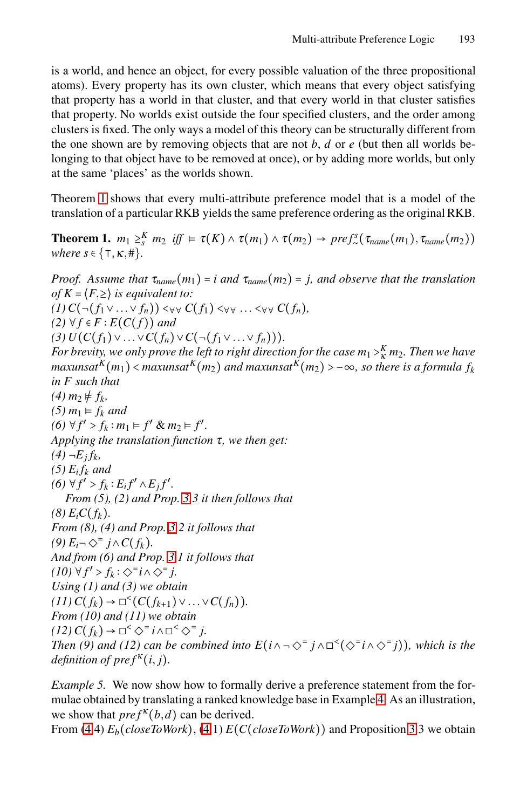is a world, and hence an object, for every possible valuation of the three propositional atoms). Every property has its own cluster, which means that every object satisfying that property has a world in that cluster, and that every world in that cluster satisfies that property. No worlds exist outside the four specified clusters, and the order among clusters is fixed. The only ways a model of this theory can be structurally different from the one shown are by removing objects that are not *b*, *d* or *e* (but then all worlds belonging to that object have to be removed at once), or by adding more worlds, but only at the same 'places' as the worlds shown.

Theorem 1 shows that every multi-attribute preference model that is a model of the translation of a particular RKB yields the same preference ordering as the original RKB.

**Theorem 1.**  $m_1 \geq s$ <sup>*K*</sup>  $m_2$  *iff*  $\models \tau(K) \land \tau(m_1) \land \tau(m_2) \rightarrow pref^s_{\sim}(\tau_{name}(m_1), \tau_{name}(m_2))$ *where*  $s \in \{T, K, \# \}$ .

*Proof.* Assume that  $\tau_{name}(m_1) = i$  and  $\tau_{name}(m_2) = j$ , and observe that the translation *of*  $K = \langle F, \ge \rangle$  *is equivalent to:*  $(I) C(\neg(f_1 \vee \ldots \vee f_n)) \leq \forall \forall C(f_1) \leq \forall \forall C(f_n)$ , *(2)* ∀*f* ∈ *F* ∶ *E*(*C*( *f* )) *and* (3)  $U(C(f_1) \vee \ldots \vee C(f_n) \vee C(\neg(f_1 \vee \ldots \vee f_n))).$ *For brevity, we only prove the left to right direction for the case m*<sup>1</sup> >*<sup>K</sup>* <sup>κ</sup> *m*2*. Then we have maxunsat*<sup>*K*</sup>(*m*<sub>1</sub>) < *maxunsat*<sup>*K*</sup>(*m*<sub>2</sub>) *and maxunsat*<sup>*K*</sup>(*m*<sub>2</sub>) > –∞, so there is a formula  $f_k$ *in F s[uc](#page-7-1)h that*  $(4)$  *m*<sub>2</sub>  $\neq$  *f<sub>k</sub>*,  $(5)$ *m*<sub>1</sub> ⊨ *f<sub>k</sub> and*  $f(6) \forall f' > f_k : m_1 \models f' \& m_2 \models f'.$ *Ap[pl](#page-7-1)ying the translation function* <sup>τ</sup>*, we then get:*  $(4)$   $\neg E_j f_k$ ,  $(5)$   $E_i$   $f_k$  *and*  $f(6)$  ∀ $f' > f_k$ :  $E_i f' \wedge E_j f'$ . *From (5), (2) and Prop. 3.3 it then follows that*  $(8)$   $E_iC(f_k)$ . *From (8), (4) and Prop. 3.2 it follows that*  $(9) E_i \neg \Diamond \neg f \wedge C(f_k).$ *And from (6) and Prop. 3.1 it follows that (10)* ∀ $f'$  >  $f_k$  :  $\diamondsuit$ <sup>=</sup>  $i \land \diamondsuit$ =  $j$ . *Using (1) and (3) we obtain*  $(11) C(f_k)$  → □<sup><</sup>( $C(f_{k+1})$ ∨ ...∨ $C(f_n)$ ). *From (10) [a](#page-11-0)nd (11) we obtain*  $(12) C(f_k)$  → □<sup><</sup>  $\diamond$ <sup>=</sup>  $i \wedge$  □<sup><</sup>  $\diamond$ <sup>=</sup>  $j$ . *Then* (9) and (12) can be combined into  $E(i \land \neg \Diamond^= j \land \Box^<(\Diamond^= i \land \Diamond^= j))$ , which is the *definition of pre*  $f^{k}(i, j)$ .

*Example 5.* We now show how to formally derive a preference statement from the formulae obtained by translating a ranked knowledge base in Example 4. As an illustration, we show that  $pref^{k}(b,d)$  can be derived.

From (4.4)  $E_b$ (*closeToWork*), (4.1)  $E(C(closeToWork))$  and Proposition 3.3 we obtain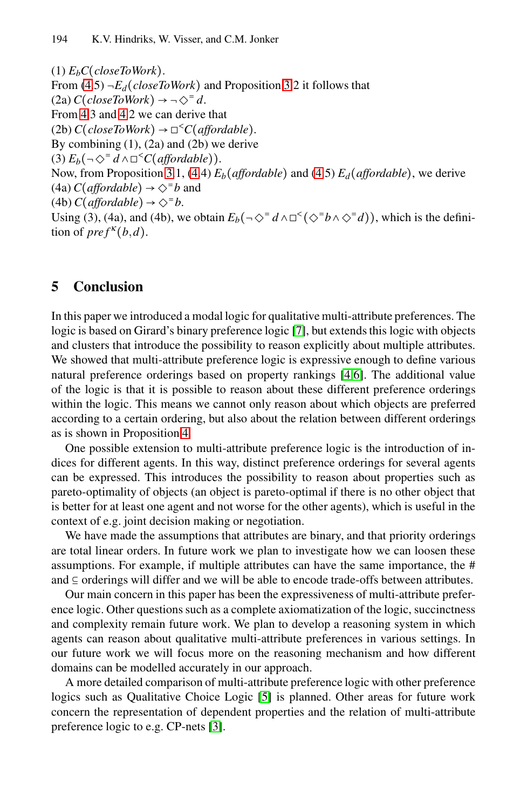<span id="page-13-0"></span> $(1)$  $(1)$   $E<sub>b</sub>C$  $E<sub>b</sub>C$ (*closeToWork*). From (4.5)  $\neg E_d$  (*closeToWork*) and Proposition 3.2 it follows that  $(2a) C(closeToWork) \rightarrow \neg \Diamond^{-1} d$ . From 4.3 and 4.2 we can derive that  $(2b) C(closeToWork) \rightarrow \Box^{\leq} C(affordable).$ By combining (1), (2a) and (2b) we derive  $(3) E_b(\neg \Diamond^= d \land \Box^< C(affordable)).$ Now, from Proposition 3.1, (4.4)  $E_b$ (*affordable*) and (4.5)  $E_d$ (*affordable*), we derive  $(4a) C(affordable) \rightarrow \diamondsuit^{-}b$  and  $(4b) C(affordable) \rightarrow \diamondsuit^{-}b.$ Using (3), (4a), and (4b), we [ob](#page-14-9)tain  $E_b(\neg \Diamond^{\exists} d \land \Box^{\leq} (\Diamond^{\exists} b \land \Diamond^{\exists} d))$ , which is the definition of *pre*  $f^{k}(b,d)$ .

## **5 Conclusion**

In thi[s p](#page-10-1)aper we introduced a modal logic for qualitative multi-attribute preferences. The logic is based on Girard's binary preference logic [7], but extends this logic with objects and clusters that introduce the possibility to reason explicitly about multiple attributes. We showed that multi-attribute preference logic is expressive enough to define various natural preference orderings based on property rankings [4,6]. The additional value of the logic is that it is possible to reason about these different preference orderings within the logic. This means we cannot only reason about which objects are preferred according to a certain ordering, but also about the relation between different orderings as is shown in Proposition 4.

One possible extension to multi-attribute preference logic is the introduction of indices for different agents. In this way, distinct preference orderings for several agents can be expressed. This introduces the possibility to reason about properties such as pareto-optimality of objects (an object is pareto-optimal if there is no other object that is better for at least one agent and not worse for the other agents), which is useful in the context of e.g. joint decision making or negotiation.

We have made the assumptions that attributes are binary, and that priority orderings are total linear orders. In future work we plan to investigate how we can loosen these assumptions. For example, if multiple attributes can have the same importance, the # and ⊆ orderings will [diff](#page-14-3)er and we will be able to encode trade-offs between attributes.

Our main concern in this paper has been the expressiveness of multi-attribute preference logic. [Ot](#page-14-11)her questions such as a complete axiomatization of the logic, succinctness and complexity remain future work. We plan to develop a reasoning system in which agents can reason about qualitative multi-attribute preferences in various settings. In our future work we will focus more on the reasoning mechanism and how different domains can be modelled accurately in our approach.

A more detailed comparison of multi-attribute preference logic with other preference logics such as Qualitative Choice Logic [5] is planned. Other areas for future work concern the representation of dependent properties and the relation of multi-attribute preference logic to e.g. CP-nets [3].